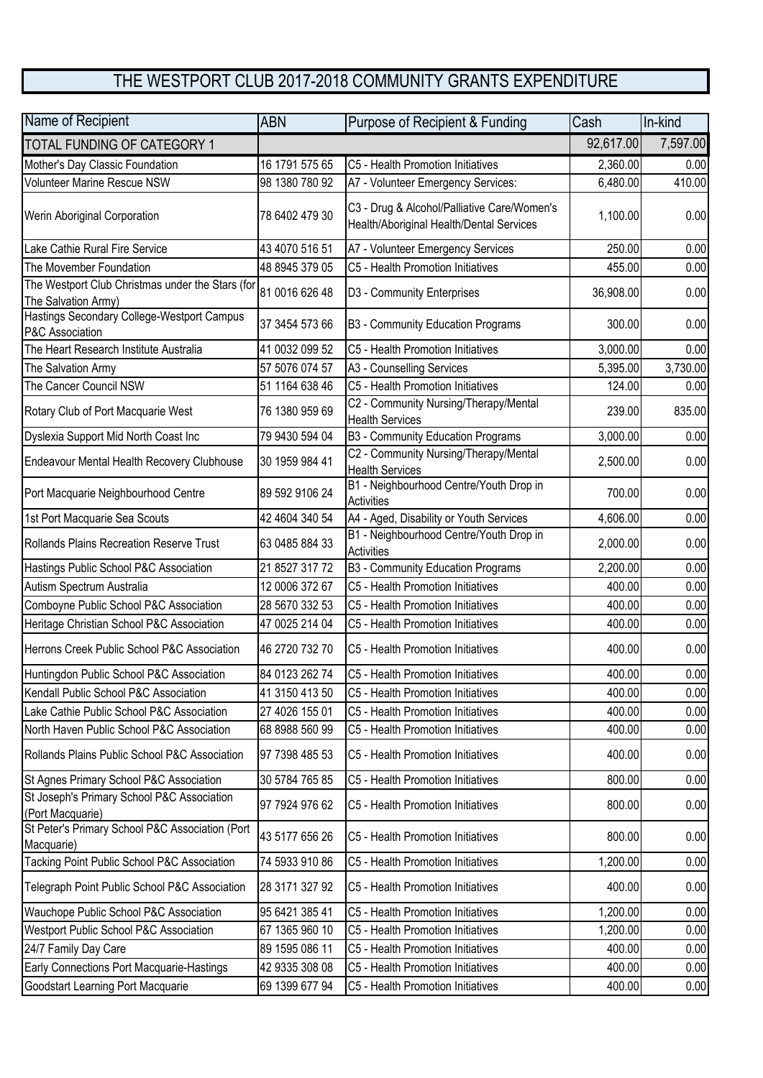## THE WESTPORT CLUB 2017-2018 COMMUNITY GRANTS EXPENDITURE

| Name of Recipient                                                       | <b>ABN</b>     | Purpose of Recipient & Funding                                                          | Cash      | In-kind  |
|-------------------------------------------------------------------------|----------------|-----------------------------------------------------------------------------------------|-----------|----------|
| TOTAL FUNDING OF CATEGORY 1                                             |                |                                                                                         | 92,617.00 | 7,597.00 |
| Mother's Day Classic Foundation                                         | 16 1791 575 65 | C5 - Health Promotion Initiatives                                                       | 2,360.00  | 0.00     |
| Volunteer Marine Rescue NSW                                             | 98 1380 780 92 | A7 - Volunteer Emergency Services:                                                      | 6,480.00  | 410.00   |
| Werin Aboriginal Corporation                                            | 78 6402 479 30 | C3 - Drug & Alcohol/Palliative Care/Women's<br>Health/Aboriginal Health/Dental Services | 1,100.00  | 0.00     |
| Lake Cathie Rural Fire Service                                          | 43 4070 516 51 | A7 - Volunteer Emergency Services                                                       | 250.00    | 0.00     |
| The Movember Foundation                                                 | 48 8945 379 05 | C5 - Health Promotion Initiatives                                                       | 455.00    | 0.00     |
| The Westport Club Christmas under the Stars (for<br>The Salvation Army) | 81 0016 626 48 | D3 - Community Enterprises                                                              | 36,908.00 | 0.00     |
| Hastings Secondary College-Westport Campus<br>P&C Association           | 37 3454 573 66 | B3 - Community Education Programs                                                       | 300.00    | 0.00     |
| The Heart Research Institute Australia                                  | 41 0032 099 52 | C5 - Health Promotion Initiatives                                                       | 3,000.00  | 0.00     |
| The Salvation Army                                                      | 57 5076 074 57 | A3 - Counselling Services                                                               | 5,395.00  | 3,730.00 |
| The Cancer Council NSW                                                  | 51 1164 638 46 | C5 - Health Promotion Initiatives                                                       | 124.00    | 0.00     |
| Rotary Club of Port Macquarie West                                      | 76 1380 959 69 | C2 - Community Nursing/Therapy/Mental<br><b>Health Services</b>                         | 239.00    | 835.00   |
| Dyslexia Support Mid North Coast Inc                                    | 79 9430 594 04 | B3 - Community Education Programs                                                       | 3,000.00  | 0.00     |
| Endeavour Mental Health Recovery Clubhouse                              | 30 1959 984 41 | C2 - Community Nursing/Therapy/Mental<br><b>Health Services</b>                         | 2,500.00  | 0.00     |
| Port Macquarie Neighbourhood Centre                                     | 89 592 9106 24 | B1 - Neighbourhood Centre/Youth Drop in<br>Activities                                   | 700.00    | 0.00     |
| 1st Port Macquarie Sea Scouts                                           | 42 4604 340 54 | A4 - Aged, Disability or Youth Services                                                 | 4,606.00  | 0.00     |
| Rollands Plains Recreation Reserve Trust                                | 63 0485 884 33 | B1 - Neighbourhood Centre/Youth Drop in<br>Activities                                   | 2,000.00  | 0.00     |
| Hastings Public School P&C Association                                  | 21 8527 317 72 | B3 - Community Education Programs                                                       | 2,200.00  | 0.00     |
| Autism Spectrum Australia                                               | 12 0006 372 67 | C5 - Health Promotion Initiatives                                                       | 400.00    | 0.00     |
| Comboyne Public School P&C Association                                  | 28 5670 332 53 | C5 - Health Promotion Initiatives                                                       | 400.00    | 0.00     |
| Heritage Christian School P&C Association                               | 47 0025 214 04 | C5 - Health Promotion Initiatives                                                       | 400.00    | 0.00     |
| Herrons Creek Public School P&C Association                             | 46 2720 732 70 | C5 - Health Promotion Initiatives                                                       | 400.00    | 0.00     |
| Huntingdon Public School P&C Association                                | 84 0123 262 74 | C5 - Health Promotion Initiatives                                                       | 400.00    | 0.00     |
| Kendall Public School P&C Association                                   | 41 3150 413 50 | C5 - Health Promotion Initiatives                                                       | 400.00    | 0.00     |
| Lake Cathie Public School P&C Association                               | 27 4026 155 01 | C5 - Health Promotion Initiatives                                                       | 400.00    | 0.00     |
| North Haven Public School P&C Association                               | 68 8988 560 99 | C5 - Health Promotion Initiatives                                                       | 400.00    | 0.00     |
| Rollands Plains Public School P&C Association                           | 97 7398 485 53 | C5 - Health Promotion Initiatives                                                       | 400.00    | 0.00     |
| St Agnes Primary School P&C Association                                 | 30 5784 765 85 | C5 - Health Promotion Initiatives                                                       | 800.00    | 0.00     |
| St Joseph's Primary School P&C Association<br>(Port Macquarie)          | 97 7924 976 62 | C5 - Health Promotion Initiatives                                                       | 800.00    | 0.00     |
| St Peter's Primary School P&C Association (Port<br>Macquarie)           | 43 5177 656 26 | C5 - Health Promotion Initiatives                                                       | 800.00    | 0.00     |
| Tacking Point Public School P&C Association                             | 74 5933 910 86 | C5 - Health Promotion Initiatives                                                       | 1,200.00  | 0.00     |
| Telegraph Point Public School P&C Association                           | 28 3171 327 92 | C5 - Health Promotion Initiatives                                                       | 400.00    | 0.00     |
| Wauchope Public School P&C Association                                  | 95 6421 385 41 | C5 - Health Promotion Initiatives                                                       | 1,200.00  | 0.00     |
| Westport Public School P&C Association                                  | 67 1365 960 10 | C5 - Health Promotion Initiatives                                                       | 1,200.00  | 0.00     |
| 24/7 Family Day Care                                                    | 89 1595 086 11 | C5 - Health Promotion Initiatives                                                       | 400.00    | 0.00     |
| Early Connections Port Macquarie-Hastings                               | 42 9335 308 08 | C5 - Health Promotion Initiatives                                                       | 400.00    | 0.00     |
| Goodstart Learning Port Macquarie                                       | 69 1399 677 94 | C5 - Health Promotion Initiatives                                                       | 400.00    | 0.00     |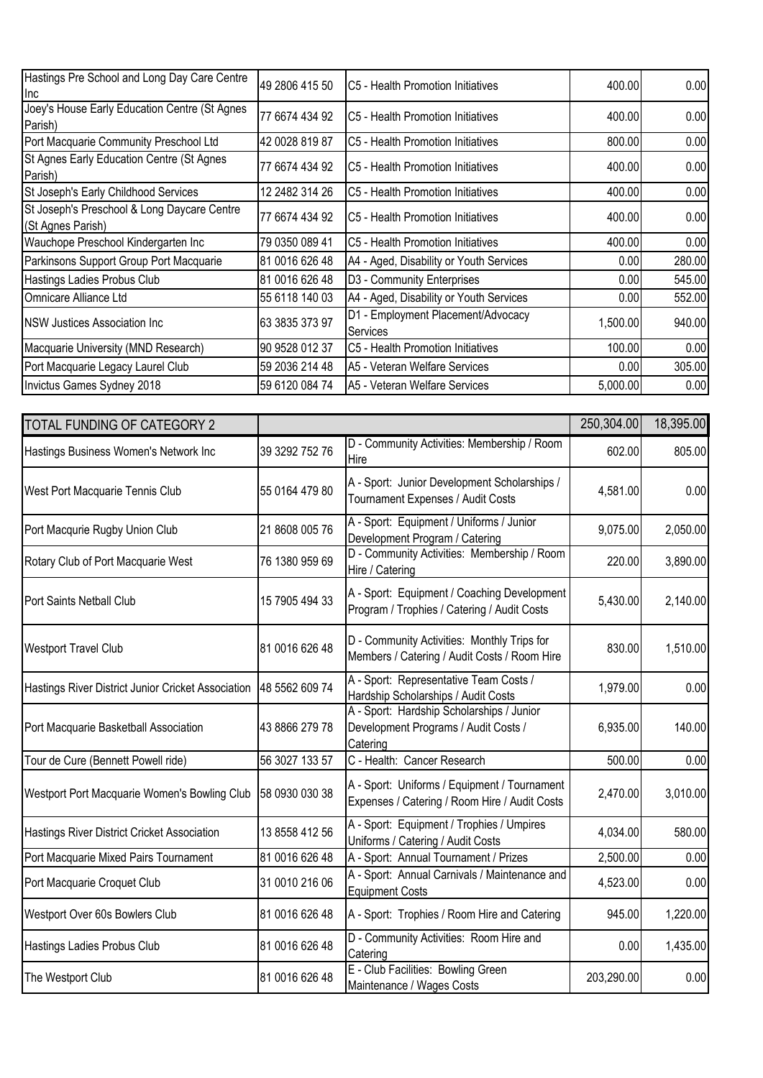| Hastings Pre School and Long Day Care Centre<br><u>Inc</u>       | 49 2806 415 50 | C5 - Health Promotion Initiatives              | 400.00   | 0.00   |
|------------------------------------------------------------------|----------------|------------------------------------------------|----------|--------|
| Joey's House Early Education Centre (St Agnes<br>Parish)         | 77 6674 434 92 | C5 - Health Promotion Initiatives              | 400.00   | 0.00   |
| Port Macquarie Community Preschool Ltd                           | 42 0028 819 87 | C5 - Health Promotion Initiatives              | 800.00   | 0.00   |
| St Agnes Early Education Centre (St Agnes<br>Parish)             | 77 6674 434 92 | C5 - Health Promotion Initiatives              | 400.00   | 0.00   |
| St Joseph's Early Childhood Services                             | 12 2482 314 26 | C5 - Health Promotion Initiatives              | 400.00   | 0.00   |
| St Joseph's Preschool & Long Daycare Centre<br>(St Agnes Parish) | 77 6674 434 92 | C5 - Health Promotion Initiatives              | 400.00   | 0.00   |
| Wauchope Preschool Kindergarten Inc                              | 79 0350 089 41 | C5 - Health Promotion Initiatives              | 400.00   | 0.00   |
| Parkinsons Support Group Port Macquarie                          | 81 0016 626 48 | A4 - Aged, Disability or Youth Services        | 0.00     | 280.00 |
| Hastings Ladies Probus Club                                      | 81 0016 626 48 | D3 - Community Enterprises                     | 0.00     | 545.00 |
| Omnicare Alliance Ltd                                            | 55 6118 140 03 | A4 - Aged, Disability or Youth Services        | 0.00     | 552.00 |
| <b>NSW Justices Association Inc.</b>                             | 63 3835 373 97 | D1 - Employment Placement/Advocacy<br>Services | 1,500.00 | 940.00 |
| Macquarie University (MND Research)                              | 90 9528 012 37 | C5 - Health Promotion Initiatives              | 100.00   | 0.00   |
| Port Macquarie Legacy Laurel Club                                | 59 2036 214 48 | A5 - Veteran Welfare Services                  | 0.00     | 305.00 |
| Invictus Games Sydney 2018                                       | 59 6120 084 74 | A5 - Veteran Welfare Services                  | 5,000.00 | 0.00   |

| <b>TOTAL FUNDING OF CATEGORY 2</b>                 |                |                                                                                               | 250,304.00 | 18,395.00 |
|----------------------------------------------------|----------------|-----------------------------------------------------------------------------------------------|------------|-----------|
| Hastings Business Women's Network Inc              | 39 3292 752 76 | D - Community Activities: Membership / Room<br>Hire                                           | 602.00     | 805.00    |
| West Port Macquarie Tennis Club                    | 55 0164 479 80 | A - Sport: Junior Development Scholarships /<br>Tournament Expenses / Audit Costs             | 4,581.00   | 0.00      |
| Port Macqurie Rugby Union Club                     | 21 8608 005 76 | A - Sport: Equipment / Uniforms / Junior<br>Development Program / Catering                    | 9,075.00   | 2,050.00  |
| Rotary Club of Port Macquarie West                 | 76 1380 959 69 | D - Community Activities: Membership / Room<br>Hire / Catering                                | 220.00     | 3,890.00  |
| Port Saints Netball Club                           | 15 7905 494 33 | A - Sport: Equipment / Coaching Development<br>Program / Trophies / Catering / Audit Costs    | 5,430.00   | 2,140.00  |
| <b>Westport Travel Club</b>                        | 81 0016 626 48 | D - Community Activities: Monthly Trips for<br>Members / Catering / Audit Costs / Room Hire   | 830.00     | 1,510.00  |
| Hastings River District Junior Cricket Association | 48 5562 609 74 | A - Sport: Representative Team Costs /<br>Hardship Scholarships / Audit Costs                 | 1,979.00   | 0.00      |
| Port Macquarie Basketball Association              | 43 8866 279 78 | A - Sport: Hardship Scholarships / Junior<br>Development Programs / Audit Costs /<br>Catering | 6,935.00   | 140.00    |
| Tour de Cure (Bennett Powell ride)                 | 56 3027 133 57 | C - Health: Cancer Research                                                                   | 500.00     | 0.00      |
| Westport Port Macquarie Women's Bowling Club       | 58 0930 030 38 | A - Sport: Uniforms / Equipment / Tournament<br>Expenses / Catering / Room Hire / Audit Costs | 2,470.00   | 3,010.00  |
| Hastings River District Cricket Association        | 13 8558 412 56 | A - Sport: Equipment / Trophies / Umpires<br>Uniforms / Catering / Audit Costs                | 4,034.00   | 580.00    |
| Port Macquarie Mixed Pairs Tournament              | 81 0016 626 48 | A - Sport: Annual Tournament / Prizes                                                         | 2,500.00   | 0.00      |
| Port Macquarie Croquet Club                        | 31 0010 216 06 | A - Sport: Annual Carnivals / Maintenance and<br><b>Equipment Costs</b>                       | 4,523.00   | 0.00      |
| Westport Over 60s Bowlers Club                     | 81 0016 626 48 | A - Sport: Trophies / Room Hire and Catering                                                  | 945.00     | 1,220.00  |
| Hastings Ladies Probus Club                        | 81 0016 626 48 | D - Community Activities: Room Hire and<br>Catering                                           | 0.00       | 1,435.00  |
| The Westport Club                                  | 81 0016 626 48 | E - Club Facilities: Bowling Green<br>Maintenance / Wages Costs                               | 203,290.00 | 0.00      |